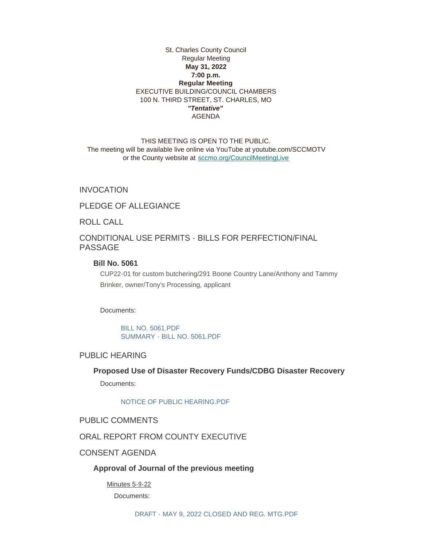### St. Charles County Council Regular Meeting **May 31, 2022 7:00 p.m. Regular Meeting** EXECUTIVE BUILDING/COUNCIL CHAMBERS 100 N. THIRD STREET, ST. CHARLES, MO *"Tentative"* AGENDA

THIS MEETING IS OPEN TO THE PUBLIC. The meeting will be available live online via YouTube at youtube.com/SCCMOTV or the County website at [sccmo.org/CouncilMeetingLive](https://sccmo.org/CouncilMeetingLive)

INVOCATION

PLEDGE OF ALLEGIANCE

ROLL CALL

CONDITIONAL USE PERMITS - BILLS FOR PERFECTION/FINAL PASSAGE

# **Bill No. 5061**

CUP22-01 for custom butchering/291 Boone Country Lane/Anthony and Tammy Brinker, owner/Tony's Processing, applicant

Documents:

[BILL NO. 5061.PDF](https://www.sccmo.org/AgendaCenter/ViewFile/Item/10934?fileID=32303) [SUMMARY - BILL NO. 5061.PDF](https://www.sccmo.org/AgendaCenter/ViewFile/Item/10934?fileID=32304)

# PUBLIC HEARING

## **Proposed Use of Disaster Recovery Funds/CDBG Disaster Recovery**

Documents:

#### [NOTICE OF PUBLIC HEARING.PDF](https://www.sccmo.org/AgendaCenter/ViewFile/Item/10981?fileID=32764)

## PUBLIC COMMENTS

# ORAL REPORT FROM COUNTY EXECUTIVE

# CONSENT AGENDA

## **Approval of Journal of the previous meeting**

Minutes 5-9-22 Documents: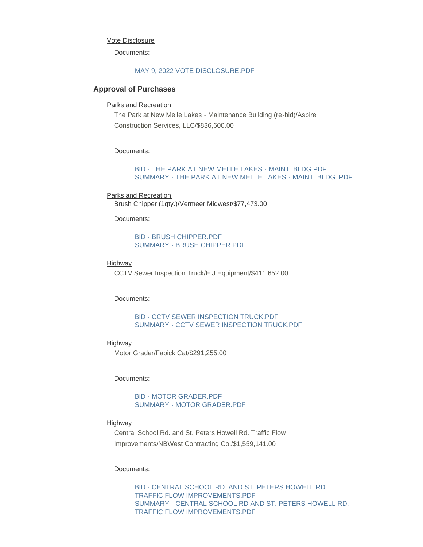#### Vote Disclosure

Documents:

#### [MAY 9, 2022 VOTE DISCLOSURE.PDF](https://www.sccmo.org/AgendaCenter/ViewFile/Item/10988?fileID=32788)

#### **Approval of Purchases**

#### Parks and Recreation

The Park at New Melle Lakes - Maintenance Building (re-bid)/Aspire Construction Services, LLC/\$836,600.00

#### Documents:

#### [BID - THE PARK AT NEW MELLE LAKES - MAINT. BLDG.PDF](https://www.sccmo.org/AgendaCenter/ViewFile/Item/10949?fileID=32392) [SUMMARY - THE PARK AT NEW MELLE LAKES - MAINT. BLDG..PDF](https://www.sccmo.org/AgendaCenter/ViewFile/Item/10949?fileID=32393)

## Parks and Recreation Brush Chipper (1qty.)/Vermeer Midwest/\$77,473.00

Documents:

#### [BID - BRUSH CHIPPER.PDF](https://www.sccmo.org/AgendaCenter/ViewFile/Item/10957?fileID=32478) [SUMMARY - BRUSH CHIPPER.PDF](https://www.sccmo.org/AgendaCenter/ViewFile/Item/10957?fileID=32479)

#### Highway

CCTV Sewer Inspection Truck/E J Equipment/\$411,652.00

#### Documents:

## [BID - CCTV SEWER INSPECTION TRUCK.PDF](https://www.sccmo.org/AgendaCenter/ViewFile/Item/10958?fileID=32480) [SUMMARY - CCTV SEWER INSPECTION TRUCK.PDF](https://www.sccmo.org/AgendaCenter/ViewFile/Item/10958?fileID=32481)

## Highway

Motor Grader/Fabick Cat/\$291,255.00

#### Documents:

## [BID - MOTOR GRADER.PDF](https://www.sccmo.org/AgendaCenter/ViewFile/Item/10960?fileID=32484) [SUMMARY - MOTOR GRADER.PDF](https://www.sccmo.org/AgendaCenter/ViewFile/Item/10960?fileID=32485)

#### Highway

Central School Rd. and St. Peters Howell Rd. Traffic Flow Improvements/NBWest Contracting Co./\$1,559,141.00

#### Documents:

[BID - CENTRAL SCHOOL RD. AND ST. PETERS HOWELL RD.](https://www.sccmo.org/AgendaCenter/ViewFile/Item/10961?fileID=32789)  TRAFFIC FLOW IMPROVEMENTS.PDF [SUMMARY - CENTRAL SCHOOL RD AND ST. PETERS HOWELL RD.](https://www.sccmo.org/AgendaCenter/ViewFile/Item/10961?fileID=32790)  TRAFFIC FLOW IMPROVEMENTS.PDF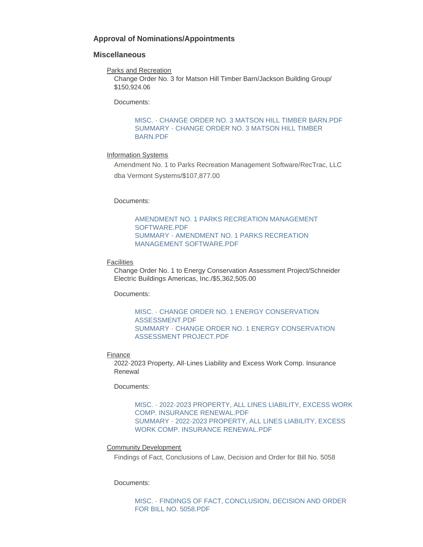## **Approval of Nominations/Appointments**

#### **Miscellaneous**

Parks and Recreation

Change Order No. 3 for Matson Hill Timber Barn/Jackson Building Group/ \$150,924.06

Documents:

[MISC. - CHANGE ORDER NO. 3 MATSON HILL TIMBER BARN.PDF](https://www.sccmo.org/AgendaCenter/ViewFile/Item/10955?fileID=32495) [SUMMARY - CHANGE ORDER NO. 3 MATSON HILL TIMBER](https://www.sccmo.org/AgendaCenter/ViewFile/Item/10955?fileID=32475)  BARN.PDF

#### Information Systems

Amendment No. 1 to Parks Recreation Management Software/RecTrac, LLC dba Vermont Systems/\$107,877.00

Documents:

[AMENDMENT NO. 1 PARKS RECREATION MANAGEMENT](https://www.sccmo.org/AgendaCenter/ViewFile/Item/10956?fileID=32476)  SOFTWARE.PDF [SUMMARY - AMENDMENT NO. 1 PARKS RECREATION](https://www.sccmo.org/AgendaCenter/ViewFile/Item/10956?fileID=32477)  MANAGEMENT SOFTWARE.PDF

### **Facilities**

Change Order No. 1 to Energy Conservation Assessment Project/Schneider Electric Buildings Americas, Inc./\$5,362,505.00

Documents:

[MISC. - CHANGE ORDER NO. 1 ENERGY CONSERVATION](https://www.sccmo.org/AgendaCenter/ViewFile/Item/10975?fileID=32496)  ASSESSMENT.PDF [SUMMARY - CHANGE ORDER NO. 1 ENERGY CONSERVATION](https://www.sccmo.org/AgendaCenter/ViewFile/Item/10975?fileID=32497)  ASSESSMENT PROJECT.PDF

#### **Finance**

2022-2023 Property, All-Lines Liability and Excess Work Comp. Insurance Renewal

Documents:

[MISC. - 2022-2023 PROPERTY, ALL LINES LIABILITY, EXCESS WORK](https://www.sccmo.org/AgendaCenter/ViewFile/Item/10959?fileID=32494)  COMP. INSURANCE RENEWAL.PDF [SUMMARY - 2022-2023 PROPERTY, ALL LINES LIABILITY, EXCESS](https://www.sccmo.org/AgendaCenter/ViewFile/Item/10959?fileID=32483)  WORK COMP. INSURANCE RENEWAL.PDF

#### Community Development

Findings of Fact, Conclusions of Law, Decision and Order for Bill No. 5058

Documents:

[MISC. - FINDINGS OF FACT, CONCLUSION, DECISION AND ORDER](https://www.sccmo.org/AgendaCenter/ViewFile/Item/10976?fileID=32837)  FOR BILL NO. 5058.PDF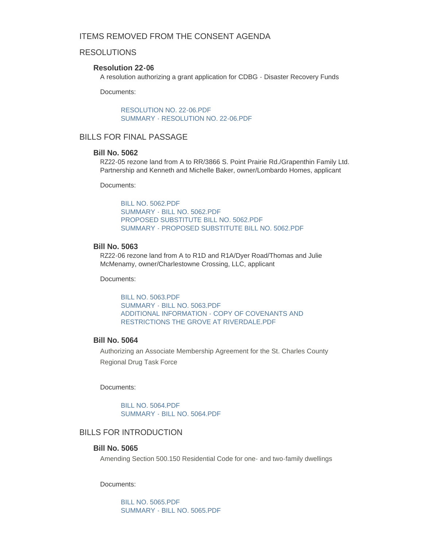# ITEMS REMOVED FROM THE CONSENT AGENDA

# RESOLUTIONS

## **Resolution 22-06**

A resolution authorizing a grant application for CDBG - Disaster Recovery Funds

Documents:

[RESOLUTION NO. 22-06.PDF](https://www.sccmo.org/AgendaCenter/ViewFile/Item/10985?fileID=32835) [SUMMARY - RESOLUTION NO. 22-06.PDF](https://www.sccmo.org/AgendaCenter/ViewFile/Item/10985?fileID=32785)

# BILLS FOR FINAL PASSAGE

# **Bill No. 5062**

RZ22-05 rezone land from A to RR/3866 S. Point Prairie Rd./Grapenthin Family Ltd. Partnership and Kenneth and Michelle Baker, owner/Lombardo Homes, applicant

Documents:

[BILL NO. 5062.PDF](https://www.sccmo.org/AgendaCenter/ViewFile/Item/10942?fileID=32305) [SUMMARY - BILL NO. 5062.PDF](https://www.sccmo.org/AgendaCenter/ViewFile/Item/10942?fileID=32306) [PROPOSED SUBSTITUTE BILL NO. 5062.PDF](https://www.sccmo.org/AgendaCenter/ViewFile/Item/10942?fileID=32768) [SUMMARY - PROPOSED SUBSTITUTE BILL NO. 5062.PDF](https://www.sccmo.org/AgendaCenter/ViewFile/Item/10942?fileID=32769)

#### **Bill No. 5063**

RZ22-06 rezone land from A to R1D and R1A/Dyer Road/Thomas and Julie McMenamy, owner/Charlestowne Crossing, LLC, applicant

Documents:

[BILL NO. 5063.PDF](https://www.sccmo.org/AgendaCenter/ViewFile/Item/10943?fileID=32307) [SUMMARY - BILL NO. 5063.PDF](https://www.sccmo.org/AgendaCenter/ViewFile/Item/10943?fileID=32308) [ADDITIONAL INFORMATION - COPY OF COVENANTS AND](https://www.sccmo.org/AgendaCenter/ViewFile/Item/10943?fileID=32309)  RESTRICTIONS THE GROVE AT RIVERDALE.PDF

## **Bill No. 5064**

Authorizing an Associate Membership Agreement for the St. Charles County Regional Drug Task Force

Documents:

[BILL NO. 5064.PDF](https://www.sccmo.org/AgendaCenter/ViewFile/Item/10944?fileID=32310) [SUMMARY - BILL NO. 5064.PDF](https://www.sccmo.org/AgendaCenter/ViewFile/Item/10944?fileID=32311)

# BILLS FOR INTRODUCTION

## **Bill No. 5065**

Amending Section 500.150 Residential Code for one- and two-family dwellings

Documents:

[BILL NO. 5065.PDF](https://www.sccmo.org/AgendaCenter/ViewFile/Item/10977?fileID=32755) [SUMMARY - BILL NO. 5065.PDF](https://www.sccmo.org/AgendaCenter/ViewFile/Item/10977?fileID=32756)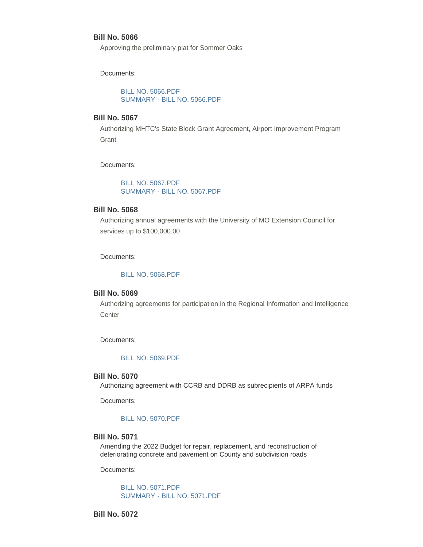## **Bill No. 5066**

Approving the preliminary plat for Sommer Oaks

Documents:

[BILL NO. 5066.PDF](https://www.sccmo.org/AgendaCenter/ViewFile/Item/10978?fileID=32757) [SUMMARY - BILL NO. 5066.PDF](https://www.sccmo.org/AgendaCenter/ViewFile/Item/10978?fileID=32758)

# **Bill No. 5067**

Authorizing MHTC's State Block Grant Agreement, Airport Improvement Program **Grant** 

Documents:

[BILL NO. 5067.PDF](https://www.sccmo.org/AgendaCenter/ViewFile/Item/10979?fileID=32759) [SUMMARY - BILL NO. 5067.PDF](https://www.sccmo.org/AgendaCenter/ViewFile/Item/10979?fileID=32760)

# **Bill No. 5068**

Authorizing annual agreements with the University of MO Extension Council for services up to \$100,000.00

Documents:

#### [BILL NO. 5068.PDF](https://www.sccmo.org/AgendaCenter/ViewFile/Item/10980?fileID=32761)

#### **Bill No. 5069**

Authorizing agreements for participation in the Regional Information and Intelligence **Center** 

Documents:

#### [BILL NO. 5069.PDF](https://www.sccmo.org/AgendaCenter/ViewFile/Item/10982?fileID=32765)

#### **Bill No. 5070**

Authorizing agreement with CCRB and DDRB as subrecipients of ARPA funds

Documents:

#### [BILL NO. 5070.PDF](https://www.sccmo.org/AgendaCenter/ViewFile/Item/10983?fileID=32792)

# **Bill No. 5071**

Amending the 2022 Budget for repair, replacement, and reconstruction of deteriorating concrete and pavement on County and subdivision roads

Documents:

[BILL NO. 5071.PDF](https://www.sccmo.org/AgendaCenter/ViewFile/Item/10984?fileID=32767) [SUMMARY - BILL NO. 5071.PDF](https://www.sccmo.org/AgendaCenter/ViewFile/Item/10984?fileID=32787)

**Bill No. 5072**